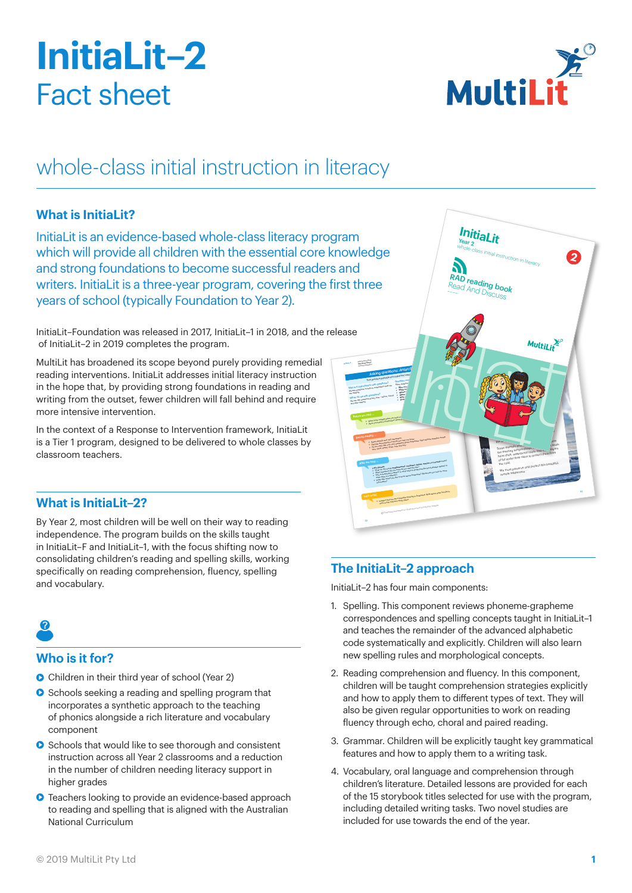# **InitiaLit–2** Fact sheet



## whole-class initial instruction in literacy

### **What is InitiaLit?**

InitiaLit is an evidence-based whole-class literacy program which will provide all children with the essential core knowledge and strong foundations to become successful readers and writers. InitiaLit is a three-year program, covering the first three years of school (typically Foundation to Year 2).

InitiaLit–Foundation was released in 2017, InitiaLit–1 in 2018, and the release of InitiaLit–2 in 2019 completes the program.

MultiLit has broadened its scope beyond purely providing remedial reading interventions. InitiaLit addresses initial literacy instruction in the hope that, by providing strong foundations in reading and writing from the outset, fewer children will fall behind and require more intensive intervention.

In the context of a Response to Intervention framework, InitiaLit is a Tier 1 program, designed to be delivered to whole classes by classroom teachers.

### **What is InitiaLit–2?**

By Year 2, most children will be well on their way to reading independence. The program builds on the skills taught in InitiaLit–F and InitiaLit–1, with the focus shifting now to consolidating children's reading and spelling skills, working specifically on reading comprehension, fluency, spelling and vocabulary.

### **Who is it for?**

- **•** Children in their third year of school (Year 2)
- **•** Schools seeking a reading and spelling program that incorporates a synthetic approach to the teaching of phonics alongside a rich literature and vocabulary component
- **•** Schools that would like to see thorough and consistent instruction across all Year 2 classrooms and a reduction in the number of children needing literacy support in higher grades
- **•** Teachers looking to provide an evidence-based approach to reading and spelling that is aligned with the Australian National Curriculum



### **The InitiaLit–2 approach**

InitiaLit–2 has four main components:

- 1. Spelling. This component reviews phoneme-grapheme correspondences and spelling concepts taught in InitiaLit–1 and teaches the remainder of the advanced alphabetic code systematically and explicitly. Children will also learn new spelling rules and morphological concepts.
- 2. Reading comprehension and fluency. In this component, children will be taught comprehension strategies explicitly and how to apply them to different types of text. They will also be given regular opportunities to work on reading fluency through echo, choral and paired reading.
- 3. Grammar. Children will be explicitly taught key grammatical features and how to apply them to a writing task.
- 4. Vocabulary, oral language and comprehension through children's literature. Detailed lessons are provided for each of the 15 storybook titles selected for use with the program, including detailed writing tasks. Two novel studies are included for use towards the end of the year.